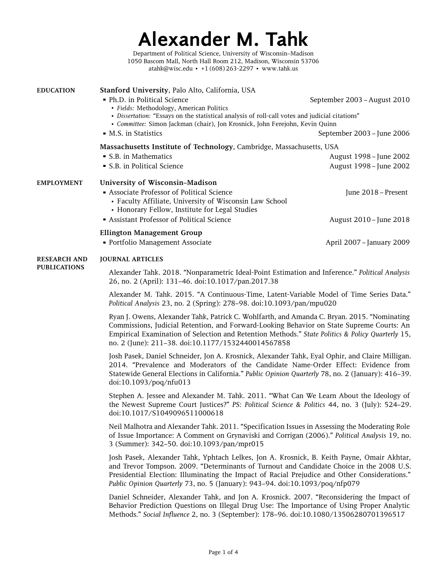# **Alexander M. Tahk**

Department of Political Science, University of Wisconsin–Madison 1050 Bascom Mall, North Hall Room 212, Madison, Wisconsin 53706 [atahk@wisc.edu](mailto:atahk@wisc.edu) • +1 (608) 263-2297 • [www.tahk.us](http://www.tahk.us/)

<span id="page-0-0"></span>

| <b>EDUCATION</b>    | Stanford University, Palo Alto, California, USA                                                                                                                                                                                                                                                                                                    |                                                    |  |
|---------------------|----------------------------------------------------------------------------------------------------------------------------------------------------------------------------------------------------------------------------------------------------------------------------------------------------------------------------------------------------|----------------------------------------------------|--|
|                     | • Ph.D. in Political Science<br>· Fields: Methodology, American Politics<br>· Dissertation: "Essays on the statistical analysis of roll-call votes and judicial citations"<br>· Committee: Simon Jackman (chair), Jon Krosnick, John Ferejohn, Kevin Quinn                                                                                         | September 2003 - August 2010                       |  |
|                     | • M.S. in Statistics                                                                                                                                                                                                                                                                                                                               | September 2003 - June 2006                         |  |
|                     | Massachusetts Institute of Technology, Cambridge, Massachusetts, USA                                                                                                                                                                                                                                                                               |                                                    |  |
|                     | • S.B. in Mathematics<br>• S.B. in Political Science                                                                                                                                                                                                                                                                                               | August 1998 - June 2002<br>August 1998 - June 2002 |  |
|                     |                                                                                                                                                                                                                                                                                                                                                    |                                                    |  |
| <b>EMPLOYMENT</b>   | University of Wisconsin-Madison<br>Associate Professor of Political Science<br>• Faculty Affiliate, University of Wisconsin Law School<br>• Honorary Fellow, Institute for Legal Studies<br>Assistant Professor of Political Science                                                                                                               | June 2018 - Present<br>August 2010 - June 2018     |  |
|                     |                                                                                                                                                                                                                                                                                                                                                    |                                                    |  |
|                     | <b>Ellington Management Group</b><br>• Portfolio Management Associate                                                                                                                                                                                                                                                                              | April 2007 - January 2009                          |  |
| <b>RESEARCH AND</b> | <b>JOURNAL ARTICLES</b>                                                                                                                                                                                                                                                                                                                            |                                                    |  |
| <b>PUBLICATIONS</b> | Alexander Tahk. 2018. "Nonparametric Ideal-Point Estimation and Inference." Political Analysis<br>26, no. 2 (April): 131-46. doi:10.1017/pan.2017.38                                                                                                                                                                                               |                                                    |  |
|                     | Alexander M. Tahk. 2015. "A Continuous-Time, Latent-Variable Model of Time Series Data."<br>Political Analysis 23, no. 2 (Spring): 278-98. doi:10.1093/pan/mpu020                                                                                                                                                                                  |                                                    |  |
|                     | Ryan J. Owens, Alexander Tahk, Patrick C. Wohlfarth, and Amanda C. Bryan. 2015. "Nominating<br>Commissions, Judicial Retention, and Forward-Looking Behavior on State Supreme Courts: An<br>Empirical Examination of Selection and Retention Methods." State Politics & Policy Quarterly 15,<br>no. 2 (June): 211-38. doi:10.1177/1532440014567858 |                                                    |  |
|                     | Josh Pasek, Daniel Schneider, Jon A. Krosnick, Alexander Tahk, Eyal Ophir, and Claire Milligan.<br>2014. "Prevalence and Moderators of the Candidate Name-Order Effect: Evidence from<br>Statewide General Elections in California." Public Opinion Quarterly 78, no. 2 (January): 416-39.<br>doi:10.1093/poq/nfu013                               |                                                    |  |
|                     | Stephen A. Jessee and Alexander M. Tahk. 2011. "What Can We Learn About the Ideology of<br>the Newest Supreme Court Justices?" PS: Political Science & Politics 44, no. 3 (July): 524-29.<br>doi:10.1017/S1049096511000618                                                                                                                         |                                                    |  |
|                     | Neil Malhotra and Alexander Tahk. 2011. "Specification Issues in Assessing the Moderating Role<br>of Issue Importance: A Comment on Grynaviski and Corrigan (2006)." Political Analysis 19, no.<br>3 (Summer): 342-50. doi:10.1093/pan/mpr015                                                                                                      |                                                    |  |
|                     | Look Bosol: Alexander Table Vabtach Lelless Jon A. Vroenick D. Voith Dayne, Omeir Alekter                                                                                                                                                                                                                                                          |                                                    |  |

Josh Pasek, Alexander Tahk, Yphtach Lelkes, Jon A. Krosnick, B. Keith Payne, Omair Akhtar, and Trevor Tompson. 2009. "Determinants of Turnout and Candidate Choice in the 2008 U.S. Presidential Election: Illuminating the Impact of Racial Prejudice and Other Considerations." *Public Opinion Quarterly* 73, no. 5 (January): 943–94. doi:[10.1093/poq/nfp079](http://dx.doi.org/10.1093/poq/nfp079)

Daniel Schneider, Alexander Tahk, and Jon A. Krosnick. 2007. "Reconsidering the Impact of Behavior Prediction Questions on Illegal Drug Use: The Importance of Using Proper Analytic Methods." *Social Influence* 2, no. 3 (September): 178–96. doi[:10.1080/13506280701396517](http://dx.doi.org/10.1080/13506280701396517)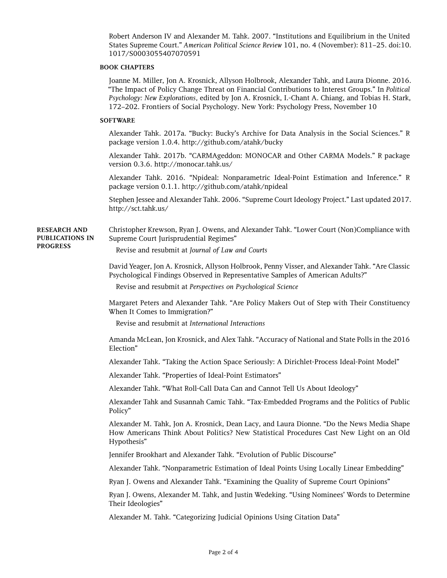Robert Anderson IV and Alexander M. Tahk. 2007. "Institutions and Equilibrium in the United States Supreme Court." *American Political Science Review* 101, no. 4 (November): 811–25. doi[:10.](http://dx.doi.org/10.1017/S0003055407070591) [1017/S0003055407070591](http://dx.doi.org/10.1017/S0003055407070591)

### **BOOK CHAPTERS**

Joanne M. Miller, Jon A. Krosnick, Allyson Holbrook, Alexander Tahk, and Laura Dionne. 2016. "The Impact of Policy Change Threat on Financial Contributions to Interest Groups." In *Political Psychology: New Explorations,* edited by Jon A. Krosnick, I.-Chant A. Chiang, and Tobias H. Stark, 172–202. Frontiers of Social Psychology. New York: Psychology Press, November 10

## **SOFTWARE**

Alexander Tahk. 2017a. "Bucky: Bucky's Archive for Data Analysis in the Social Sciences." R package version 1.0.4. <http://github.com/atahk/bucky>

Alexander Tahk. 2017b. "CARMAgeddon: MONOCAR and Other CARMA Models." R package version 0.3.6. <http://monocar.tahk.us/>

Alexander Tahk. 2016. "Npideal: Nonparametric Ideal-Point Estimation and Inference." R package version 0.1.1. <http://github.com/atahk/npideal>

Stephen Jessee and Alexander Tahk. 2006. "Supreme Court Ideology Project." Last updated 2017. <http://sct.tahk.us/>

**RESEARCH AND PUBLICATIONS IN PROGRESS** Christopher Krewson, Ryan J. Owens, and Alexander Tahk. "Lower Court (Non)Compliance with Supreme Court Jurisprudential Regimes"

Revise and resubmit at *Journal of Law and Courts*

David Yeager, Jon A. Krosnick, Allyson Holbrook, Penny Visser, and Alexander Tahk. "Are Classic Psychological Findings Observed in Representative Samples of American Adults?"

Revise and resubmit at *Perspectives on Psychological Science*

Margaret Peters and Alexander Tahk. "Are Policy Makers Out of Step with Their Constituency When It Comes to Immigration?"

Revise and resubmit at *International Interactions*

Amanda McLean, Jon Krosnick, and Alex Tahk. "Accuracy of National and State Polls in the 2016 Election"

Alexander Tahk. "Taking the Action Space Seriously: A Dirichlet-Process Ideal-Point Model"

Alexander Tahk. "Properties of Ideal-Point Estimators"

Alexander Tahk. "What Roll-Call Data Can and Cannot Tell Us About Ideology"

Alexander Tahk and Susannah Camic Tahk. "Tax-Embedded Programs and the Politics of Public Policy"

Alexander M. Tahk, Jon A. Krosnick, Dean Lacy, and Laura Dionne. "Do the News Media Shape How Americans Think About Politics? New Statistical Procedures Cast New Light on an Old Hypothesis"

Jennifer Brookhart and Alexander Tahk. "Evolution of Public Discourse"

Alexander Tahk. "Nonparametric Estimation of Ideal Points Using Locally Linear Embedding"

Ryan J. Owens and Alexander Tahk. "Examining the Quality of Supreme Court Opinions"

Ryan J. Owens, Alexander M. Tahk, and Justin Wedeking. "Using Nominees' Words to Determine Their Ideologies"

Alexander M. Tahk. "Categorizing Judicial Opinions Using Citation Data"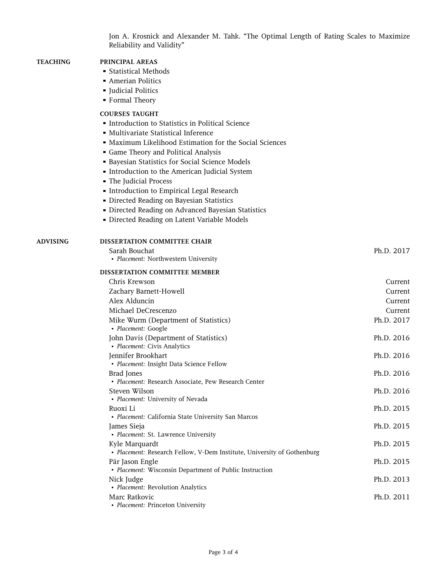Jon A. Krosnick and Alexander M. Tahk. "The Optimal Length of Rating Scales to Maximize Reliability and Validity"

## **TEACHING PRINCIPAL AREAS**

- ` Statistical Methods
- **Amerian Politics**
- ` Judicial Politics
- ` Formal Theory

## **COURSES TAUGHT**

- **Introduction to Statistics in Political Science**
- ` Multivariate Statistical Inference
- ` Maximum Likelihood Estimation for the Social Sciences
- $\blacksquare$  Game Theory and Political Analysis
- **Bayesian Statistics for Social Science Models**
- ` Introduction to the American Judicial System
- ` The Judicial Process
- $\blacksquare$  Introduction to Empirical Legal Research
- **Directed Reading on Bayesian Statistics**
- ` Directed Reading on Advanced Bayesian Statistics
- ` Directed Reading on Latent Variable Models

#### **ADVISING DISSERTATION COMMITTEE CHAIR**

Sarah Bouchat **Ph.D. 2017** • *Placement:* Northwestern University

#### **DISSERTATION COMMITTEE MEMBER**

| Chris Krewson                                                                             | Current    |
|-------------------------------------------------------------------------------------------|------------|
| Zachary Barnett-Howell                                                                    | Current    |
| Alex Alduncin                                                                             | Current    |
| Michael DeCrescenzo                                                                       | Current    |
| Mike Wurm (Department of Statistics)<br>• Placement: Google                               | Ph.D. 2017 |
| John Davis (Department of Statistics)<br>• Placement: Civis Analytics                     | Ph.D. 2016 |
| Jennifer Brookhart<br>· Placement: Insight Data Science Fellow                            | Ph.D. 2016 |
| Brad Jones<br>• Placement: Research Associate, Pew Research Center                        | Ph.D. 2016 |
| Steven Wilson<br>• Placement: University of Nevada                                        | Ph.D. 2016 |
| Ruoxi Li<br>• Placement: California State University San Marcos                           | Ph.D. 2015 |
| James Sieja<br>· Placement: St. Lawrence University                                       | Ph.D. 2015 |
| Kyle Marquardt<br>• Placement: Research Fellow, V-Dem Institute, University of Gothenburg | Ph.D. 2015 |
| Pär Jason Engle<br>• Placement: Wisconsin Department of Public Instruction                | Ph.D. 2015 |
| Nick Judge<br>• Placement: Revolution Analytics                                           | Ph.D. 2013 |
| Marc Ratkovic<br>• Placement: Princeton University                                        | Ph.D. 2011 |